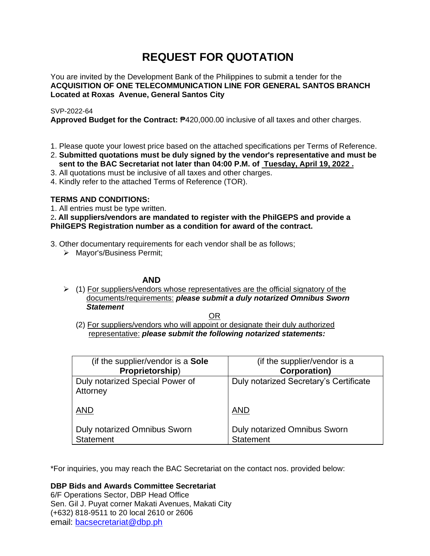# **REQUEST FOR QUOTATION**

You are invited by the Development Bank of the Philippines to submit a tender for the **ACQUISITION OF ONE TELECOMMUNICATION LINE FOR GENERAL SANTOS BRANCH Located at Roxas Avenue, General Santos City**

# SVP-2022-64

**Approved Budget for the Contract:** ₱420,000.00 inclusive of all taxes and other charges.

- 1. Please quote your lowest price based on the attached specifications per Terms of Reference.
- 2. **Submitted quotations must be duly signed by the vendor's representative and must be sent to the BAC Secretariat not later than 04:00 P.M. of Tuesday, April 19, 2022 .**
- 3. All quotations must be inclusive of all taxes and other charges.
- 4. Kindly refer to the attached Terms of Reference (TOR).

# **TERMS AND CONDITIONS:**

1. All entries must be type written.

# 2**. All suppliers/vendors are mandated to register with the PhilGEPS and provide a PhilGEPS Registration number as a condition for award of the contract.**

- 3. Other documentary requirements for each vendor shall be as follows;
	- ➢ Mayor's/Business Permit;

# **AND**

 $\geq$  (1) For suppliers/vendors whose representatives are the official signatory of the documents/requirements: *please submit a duly notarized Omnibus Sworn Statement*

<u>OR Starting and the Starting OR Starting</u>

(2) For suppliers/vendors who will appoint or designate their duly authorized representative: *please submit the following notarized statements:*

| (if the supplier/vendor is a Sole                       | (if the supplier/vendor is a                     |
|---------------------------------------------------------|--------------------------------------------------|
| Proprietorship)                                         | <b>Corporation</b> )                             |
| Duly notarized Special Power of<br>Attorney             | Duly notarized Secretary's Certificate           |
| <b>AND</b>                                              | <b>AND</b>                                       |
| <b>Duly notarized Omnibus Sworn</b><br><b>Statement</b> | Duly notarized Omnibus Sworn<br><b>Statement</b> |

\*For inquiries, you may reach the BAC Secretariat on the contact nos. provided below:

**DBP Bids and Awards Committee Secretariat**  6/F Operations Sector, DBP Head Office

Sen. Gil J. Puyat corner Makati Avenues, Makati City (+632) 818-9511 to 20 local 2610 or 2606 email: [bacsecretariat@dbp.ph](mailto:bacsecretariat@dbp.ph)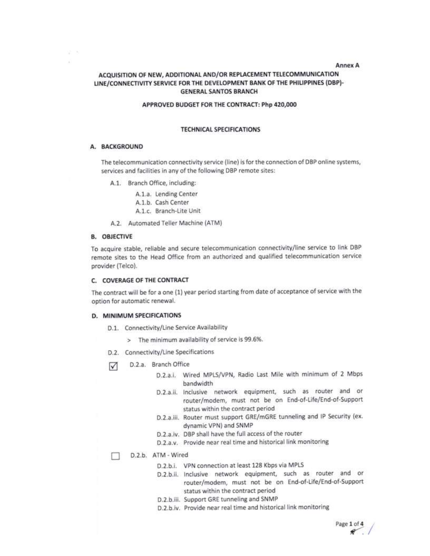#### Annex A

## ACQUISITION OF NEW, ADDITIONAL AND/OR REPLACEMENT TELECOMMUNICATION LINE/CONNECTIVITY SERVICE FOR THE DEVELOPMENT BANK OF THE PHILIPPINES (DBP)-**GENERAL SANTOS BRANCH**

#### APPROVED BUDGET FOR THE CONTRACT: Php 420,000

#### **TECHNICAL SPECIFICATIONS**

## A. BACKGROUND

 $\mathcal{L} \subset \mathcal{N}$ Ŵ

> The telecommunication connectivity service (line) is for the connection of DBP online systems, services and facilities in any of the following DBP remote sites:

A.1. Branch Office, including:

A.1.a. Lending Center

A.1.b. Cash Center

A.1.c. Branch-Lite Unit

A.2. Automated Teller Machine (ATM)

## **B. OBJECTIVE**

To acquire stable, reliable and secure telecommunication connectivity/line service to link DBP remote sites to the Head Office from an authorized and qualified telecommunication service provider (Telco).

#### C. COVERAGE OF THE CONTRACT

The contract will be for a one (1) year period starting from date of acceptance of service with the option for automatic renewal.

#### D. MINIMUM SPECIFICATIONS

- D.1. Connectivity/Line Service Availability
	- > The minimum availability of service is 99.6%.
- D.2. Connectivity/Line Specifications
- D.2.a. Branch Office ☑
	- D.2.a.i. Wired MPLS/VPN, Radio Last Mile with minimum of 2 Mbps bandwidth
	- D.2.a.ii. Inclusive network equipment, such as router and or router/modem, must not be on End-of-Life/End-of-Support status within the contract period
	- D.2.a.iii. Router must support GRE/mGRE tunneling and IP Security (ex. dynamic VPN) and SNMP
	- D.2.a.iv. DBP shall have the full access of the router
	- D.2.a.v. Provide near real time and historical link monitoring

D.2.b. ATM - Wired

- D.2.b.i. VPN connection at least 128 Kbps via MPLS
- D.2.b.ii. Inclusive network equipment, such as router and or router/modem, must not be on End-of-Life/End-of-Support status within the contract period
- D.2.b.iii. Support GRE tunneling and SNMP
- D.2.b.iv. Provide near real time and historical link monitoring

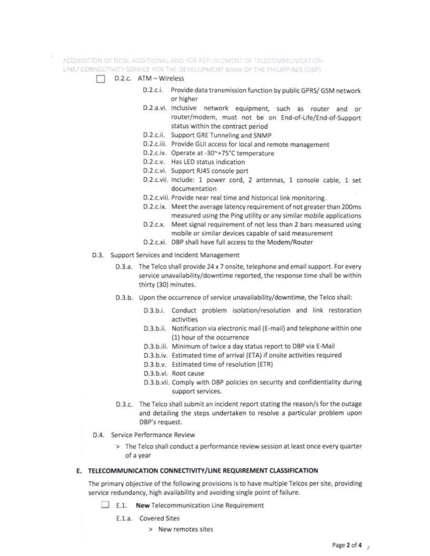ACOUISITION OF NEW, ADDITIONAL AND JOR REPLACEMENT OF TELECOMMUNICATION. LINE/ CONNECTIVITY SERVICE FOR THE DEVELOPMENT BANK OF THE PHILIPPINES (DBP)

- D.2.c. ATM Wireless
	- D.2.c.i. Provide data transmission function by public GPRS/ GSM network or higher
	- D.2.a.vi. Inclusive network equipment, such as router and or router/modem, must not be on End-of-Life/End-of-Support status within the contract period
	- D.2.c.ii. Support GRE Tunneling and SNMP
	- D.2.c.iii. Provide GUI access for local and remote management
	- D.2.c.iv. Operate at -30~+75°C temperature
	- D.2.c.v. Has LED status indication
	- D.2.c.vi. Support RJ45 console port
	- D.2.c.vii. Include: 1 power cord, 2 antennas, 1 console cable, 1 set documentation
	- D.2.c.viii. Provide near real time and historical link monitoring.
	- D.2.c.ix. Meet the average latency requirement of not greater than 200ms measured using the Ping utility or any similar mobile applications
	- D.2.c.x. Meet signal requirement of not less than 2 bars measured using mobile or similar devices capable of said measurement
	- D.2.c.xi. DBP shall have full access to the Modem/Router
- D.3. Support Services and Incident Management
	- D.3.a. The Telco shall provide 24 x 7 onsite, telephone and email support. For every service unavailability/downtime reported, the response time shall be within thirty (30) minutes.
	- D.3.b. Upon the occurrence of service unavailability/downtime, the Telco shall:
		- D.3.b.i. Conduct problem isolation/resolution and link restoration activities
		- D.3.b.ii. Notification via electronic mail (E-mail) and telephone within one (1) hour of the occurrence
		- D.3.b.iii. Minimum of twice a day status report to DBP via E-Mail
		- D.3.b.iv. Estimated time of arrival (ETA) if onsite activities required
		- D.3.b.v. Estimated time of resolution (ETR)
		- D.3.b.vi. Root cause
		- D.3.b.vii. Comply with DBP policies on security and confidentiality during support services.
	- D.3.c. The Telco shall submit an incident report stating the reason/s for the outage and detailing the steps undertaken to resolve a particular problem upon DBP's request.
- D.4. Service Performance Review
	- > The Telco shall conduct a performance review session at least once every quarter of a year

## E. TELECOMMUNICATION CONNECTIVITY/LINE REQUIREMENT CLASSIFICATION

The primary objective of the following provisions is to have multiple Telcos per site, providing service redundancy, high availability and avoiding single point of failure.

- E.1. New Telecommunication Line Requirement
	- E.1.a. Covered Sites
		- > New remotes sites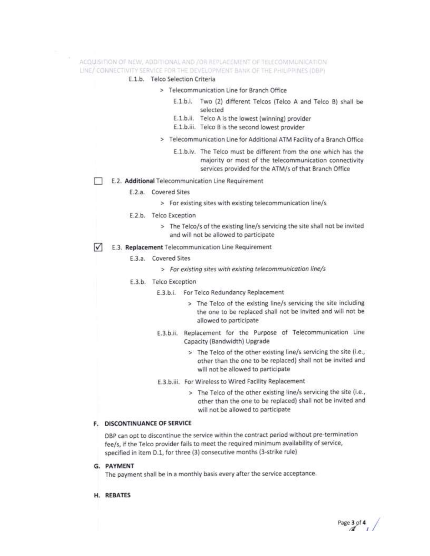## ACQUISITION OF NEW, ADDITIONAL AND /OR REPLACEMENT OF TELECOMMUNICATION LINE/ CONNECTIVITY SERVICE FOR THE DEVELOPMENT BANK OF THE PHILIPPINES (DBP)

### E.1.b. Telco Selection Criteria

- > Telecommunication Line for Branch Office
	- E.1.b.i. Two (2) different Telcos (Telco A and Telco B) shall be selected
	- E.1.b.ii. Telco A is the lowest (winning) provider
	- E.1.b.iii. Telco B is the second lowest provider
- > Telecommunication Line for Additional ATM Facility of a Branch Office
	- E.1.b.iv. The Telco must be different from the one which has the majority or most of the telecommunication connectivity services provided for the ATM/s of that Branch Office
- E.2. Additional Telecommunication Line Requirement
	- E.2.a. Covered Sites
		- > For existing sites with existing telecommunication line/s
	- E.2.b. Telco Exception
		- > The Telco/s of the existing line/s servicing the site shall not be invited and will not be allowed to participate
- ☑ E.3. Replacement Telecommunication Line Requirement
	- E.3.a. Covered Sites
		- > For existing sites with existing telecommunication line/s
	- E.3.b. Telco Exception
		- E.3.b.i. For Telco Redundancy Replacement
			- > The Telco of the existing line/s servicing the site including the one to be replaced shall not be invited and will not be allowed to participate
		- E.3.b.ii. Replacement for the Purpose of Telecommunication Line Capacity (Bandwidth) Upgrade
			- > The Telco of the other existing line/s servicing the site (i.e., other than the one to be replaced) shall not be invited and will not be allowed to participate
		- E.3.b.iii. For Wireless to Wired Facility Replacement
			- > The Telco of the other existing line/s servicing the site (i.e., other than the one to be replaced) shall not be invited and will not be allowed to participate

## F. DISCONTINUANCE OF SERVICE

DBP can opt to discontinue the service within the contract period without pre-termination fee/s, if the Telco provider fails to meet the required minimum availability of service, specified in item D.1, for three (3) consecutive months (3-strike rule)

G. PAYMENT

The payment shall be in a monthly basis every after the service acceptance.

H. REBATES